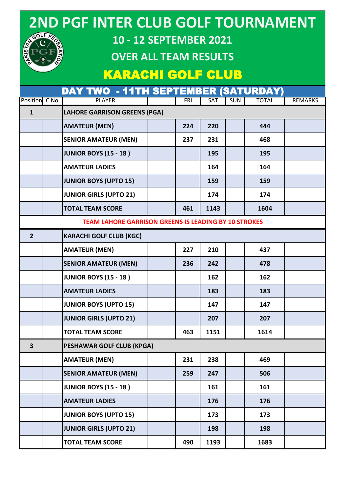#### **2ND PGF INTER CLUB GOLF TOURNAMENT** GOLF FA



#### **OVER ALL TEAM RESULTS**

#### KARACHI GOLF CLUB

|                | DAY TWO - 11TH SEPTEMBER (SATURDAY)                         |  |            |      |     |              |                |  |  |
|----------------|-------------------------------------------------------------|--|------------|------|-----|--------------|----------------|--|--|
| Position C No. | <b>PLAYER</b>                                               |  | <b>FRI</b> | SAT  | SUN | <b>TOTAL</b> | <b>REMARKS</b> |  |  |
| $\mathbf{1}$   | <b>LAHORE GARRISON GREENS (PGA)</b>                         |  |            |      |     |              |                |  |  |
|                | <b>AMATEUR (MEN)</b>                                        |  | 224        | 220  |     | 444          |                |  |  |
|                | <b>SENIOR AMATEUR (MEN)</b>                                 |  | 237        | 231  |     | 468          |                |  |  |
|                | <b>JUNIOR BOYS (15 - 18)</b>                                |  |            | 195  |     | 195          |                |  |  |
|                | <b>AMATEUR LADIES</b>                                       |  |            | 164  |     | 164          |                |  |  |
|                | <b>JUNIOR BOYS (UPTO 15)</b>                                |  |            | 159  |     | 159          |                |  |  |
|                | <b>JUNIOR GIRLS (UPTO 21)</b>                               |  |            | 174  |     | 174          |                |  |  |
|                | <b>TOTAL TEAM SCORE</b>                                     |  | 461        | 1143 |     | 1604         |                |  |  |
|                | <b>TEAM LAHORE GARRISON GREENS IS LEADING BY 10 STROKES</b> |  |            |      |     |              |                |  |  |
| $\overline{2}$ | <b>KARACHI GOLF CLUB (KGC)</b>                              |  |            |      |     |              |                |  |  |
|                | <b>AMATEUR (MEN)</b>                                        |  | 227        | 210  |     | 437          |                |  |  |
|                | <b>SENIOR AMATEUR (MEN)</b>                                 |  | 236        | 242  |     | 478          |                |  |  |
|                | <b>JUNIOR BOYS (15 - 18)</b>                                |  |            | 162  |     | 162          |                |  |  |
|                | <b>AMATEUR LADIES</b>                                       |  |            | 183  |     | 183          |                |  |  |
|                | <b>JUNIOR BOYS (UPTO 15)</b>                                |  |            | 147  |     | 147          |                |  |  |
|                | <b>JUNIOR GIRLS (UPTO 21)</b>                               |  |            | 207  |     | 207          |                |  |  |
|                | <b>TOTAL TEAM SCORE</b>                                     |  | 463        | 1151 |     | 1614         |                |  |  |
| 3              | <b>PESHAWAR GOLF CLUB (KPGA)</b>                            |  |            |      |     |              |                |  |  |
|                | <b>AMATEUR (MEN)</b>                                        |  | 231        | 238  |     | 469          |                |  |  |
|                | <b>SENIOR AMATEUR (MEN)</b>                                 |  | 259        | 247  |     | 506          |                |  |  |
|                | <b>JUNIOR BOYS (15 - 18)</b>                                |  |            | 161  |     | 161          |                |  |  |
|                | <b>AMATEUR LADIES</b>                                       |  |            | 176  |     | 176          |                |  |  |
|                | <b>JUNIOR BOYS (UPTO 15)</b>                                |  |            | 173  |     | 173          |                |  |  |
|                | <b>JUNIOR GIRLS (UPTO 21)</b>                               |  |            | 198  |     | 198          |                |  |  |
|                | <b>TOTAL TEAM SCORE</b>                                     |  | 490        | 1193 |     | 1683         |                |  |  |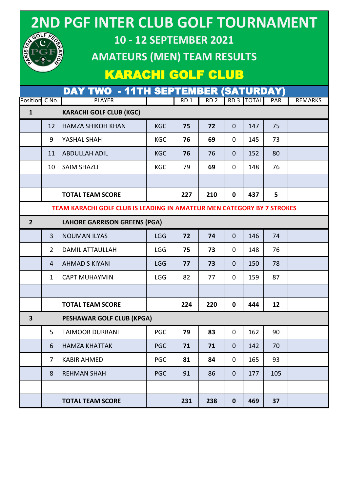# GOLF FA

### **2ND PGF INTER CLUB GOLF TOURNAMENT**

#### **10 - 12 SEPTEMBER 2021**

#### **AMATEURS (MEN) TEAM RESULTS**

#### KARACHI GOLF CLUB

|                                                                               |                                | <b>DAY TWO - 11TH SEPTEMBER (SATURDAY)</b> |            |                 |                 |              |            |     |                |  |
|-------------------------------------------------------------------------------|--------------------------------|--------------------------------------------|------------|-----------------|-----------------|--------------|------------|-----|----------------|--|
| Position C No.                                                                |                                | <b>PLAYER</b>                              |            | RD <sub>1</sub> | RD <sub>2</sub> |              | RD 3 TOTAL | PAR | <b>REMARKS</b> |  |
| $\mathbf{1}$                                                                  | <b>KARACHI GOLF CLUB (KGC)</b> |                                            |            |                 |                 |              |            |     |                |  |
|                                                                               | 12                             | <b>HAMZA SHIKOH KHAN</b>                   | <b>KGC</b> | 75              | 72              | $\mathbf 0$  | 147        | 75  |                |  |
|                                                                               | 9                              | YASHAL SHAH                                | <b>KGC</b> | 76              | 69              | $\mathbf 0$  | 145        | 73  |                |  |
|                                                                               | 11                             | <b>ABDULLAH ADIL</b>                       | <b>KGC</b> | 76              | 76              | $\mathbf 0$  | 152        | 80  |                |  |
|                                                                               | 10                             | <b>SAIM SHAZLI</b>                         | <b>KGC</b> | 79              | 69              | $\mathbf 0$  | 148        | 76  |                |  |
|                                                                               |                                |                                            |            |                 |                 |              |            |     |                |  |
|                                                                               |                                | <b>TOTAL TEAM SCORE</b>                    |            | 227             | 210             | $\mathbf 0$  | 437        | 5   |                |  |
| <b>TEAM KARACHI GOLF CLUB IS LEADING IN AMATEUR MEN CATEGORY BY 7 STROKES</b> |                                |                                            |            |                 |                 |              |            |     |                |  |
| $\overline{2}$                                                                |                                | <b>LAHORE GARRISON GREENS (PGA)</b>        |            |                 |                 |              |            |     |                |  |
|                                                                               | $\overline{3}$                 | <b>NOUMAN ILYAS</b>                        | LGG        | 72              | 74              | $\mathbf{0}$ | 146        | 74  |                |  |
|                                                                               | $2^{\circ}$                    | <b>DAMIL ATTAULLAH</b>                     | <b>LGG</b> | 75              | 73              | 0            | 148        | 76  |                |  |
|                                                                               | $\overline{4}$                 | <b>AHMAD S KIYANI</b>                      | <b>LGG</b> | 77              | 73              | 0            | 150        | 78  |                |  |
|                                                                               | $\mathbf{1}$                   | <b>CAPT MUHAYMIN</b>                       | <b>LGG</b> | 82              | 77              | $\mathbf 0$  | 159        | 87  |                |  |
|                                                                               |                                |                                            |            |                 |                 |              |            |     |                |  |
|                                                                               |                                | <b>TOTAL TEAM SCORE</b>                    |            | 224             | 220             | $\mathbf 0$  | 444        | 12  |                |  |
| $\overline{\mathbf{3}}$                                                       |                                | <b>PESHAWAR GOLF CLUB (KPGA)</b>           |            |                 |                 |              |            |     |                |  |
|                                                                               | 5                              | <b>TAIMOOR DURRANI</b>                     | <b>PGC</b> | 79              | 83              | $\mathbf 0$  | 162        | 90  |                |  |
|                                                                               | 6                              | <b>HAMZA KHATTAK</b>                       | <b>PGC</b> | 71              | 71              | $\mathbf 0$  | 142        | 70  |                |  |
|                                                                               | $\overline{7}$                 | <b>KABIR AHMED</b>                         | <b>PGC</b> | 81              | 84              | $\mathbf 0$  | 165        | 93  |                |  |
|                                                                               | 8                              | <b>REHMAN SHAH</b>                         | <b>PGC</b> | 91              | 86              | $\mathbf 0$  | 177        | 105 |                |  |
|                                                                               |                                |                                            |            |                 |                 |              |            |     |                |  |
|                                                                               |                                | <b>TOTAL TEAM SCORE</b>                    |            | 231             | 238             | $\mathbf 0$  | 469        | 37  |                |  |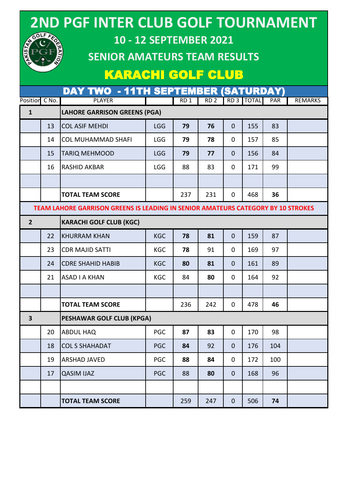## **2ND PGF INTER CLUB GOLF TOURNAMENT**



#### **10 - 12 SEPTEMBER 2021**

#### **SENIOR AMATEURS TEAM RESULTS**

#### KARACHI GOLF CLUB

DAY TWO - 11TH SEPTEMBER (SATURDAY)

| Position C No.          |                                     | <b>PLAYER</b>                                                                    |            | RD <sub>1</sub> | RD <sub>2</sub> |              | RD 3   TOTAL | PAR | <b>REMARKS</b> |  |  |  |
|-------------------------|-------------------------------------|----------------------------------------------------------------------------------|------------|-----------------|-----------------|--------------|--------------|-----|----------------|--|--|--|
| $\mathbf{1}$            | <b>LAHORE GARRISON GREENS (PGA)</b> |                                                                                  |            |                 |                 |              |              |     |                |  |  |  |
|                         | 13                                  | <b>COL ASIF MEHDI</b>                                                            | <b>LGG</b> | 79              | 76              | $\mathbf{0}$ | 155          | 83  |                |  |  |  |
|                         | 14                                  | <b>COL MUHAMMAD SHAFI</b>                                                        | <b>LGG</b> | 79              | 78              | $\mathbf 0$  | 157          | 85  |                |  |  |  |
|                         | 15                                  | <b>TARIQ MEHMOOD</b>                                                             | <b>LGG</b> | 79              | 77              | $\mathbf{0}$ | 156          | 84  |                |  |  |  |
|                         | 16                                  | <b>RASHID AKBAR</b>                                                              | <b>LGG</b> | 88              | 83              | $\mathbf 0$  | 171          | 99  |                |  |  |  |
|                         |                                     |                                                                                  |            |                 |                 |              |              |     |                |  |  |  |
|                         |                                     | <b>TOTAL TEAM SCORE</b>                                                          |            | 237             | 231             | $\mathbf 0$  | 468          | 36  |                |  |  |  |
|                         |                                     | TEAM LAHORE GARRISON GREENS IS LEADING IN SENIOR AMATEURS CATEGORY BY 10 STROKES |            |                 |                 |              |              |     |                |  |  |  |
| $\overline{2}$          |                                     | <b>KARACHI GOLF CLUB (KGC)</b>                                                   |            |                 |                 |              |              |     |                |  |  |  |
|                         | 22                                  | <b>KHURRAM KHAN</b>                                                              | <b>KGC</b> | 78              | 81              | $\mathbf{0}$ | 159          | 87  |                |  |  |  |
|                         | 23                                  | <b>CDR MAJID SATTI</b>                                                           | <b>KGC</b> | 78              | 91              | $\mathbf 0$  | 169          | 97  |                |  |  |  |
|                         | 24                                  | <b>CDRE SHAHID HABIB</b>                                                         | <b>KGC</b> | 80              | 81              | $\mathbf{0}$ | 161          | 89  |                |  |  |  |
|                         | 21                                  | <b>ASAD I A KHAN</b>                                                             | <b>KGC</b> | 84              | 80              | $\mathbf 0$  | 164          | 92  |                |  |  |  |
|                         |                                     |                                                                                  |            |                 |                 |              |              |     |                |  |  |  |
|                         |                                     | <b>TOTAL TEAM SCORE</b>                                                          |            | 236             | 242             | $\mathbf 0$  | 478          | 46  |                |  |  |  |
| $\overline{\mathbf{3}}$ |                                     | <b>PESHAWAR GOLF CLUB (KPGA)</b>                                                 |            |                 |                 |              |              |     |                |  |  |  |
|                         | 20                                  | <b>ABDUL HAQ</b>                                                                 | <b>PGC</b> | 87              | 83              | $\mathbf 0$  | 170          | 98  |                |  |  |  |
|                         | 18                                  | <b>COL S SHAHADAT</b>                                                            | <b>PGC</b> | 84              | 92              | $\mathbf{0}$ | 176          | 104 |                |  |  |  |
|                         | 19                                  | <b>ARSHAD JAVED</b>                                                              | PGC        | 88              | 84              | 0            | 172          | 100 |                |  |  |  |
|                         | 17                                  | <b>QASIM IJAZ</b>                                                                | <b>PGC</b> | 88              | 80              | $\mathbf 0$  | 168          | 96  |                |  |  |  |
|                         |                                     |                                                                                  |            |                 |                 |              |              |     |                |  |  |  |
|                         |                                     | <b>TOTAL TEAM SCORE</b>                                                          |            | 259             | 247             | $\mathbf 0$  | 506          | 74  |                |  |  |  |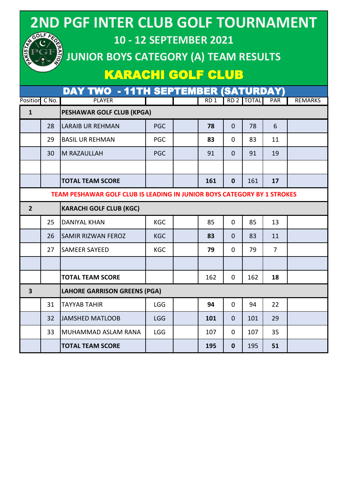| <b>2ND PGF INTER CLUB GOLF TOURNAMENT</b><br>GOLF F<br>10 - 12 SEPTEMBER 2021<br><b>JUNIOR BOYS CATEGORY (A) TEAM RESULTS</b><br><b>KARACHI GOLF CLUB</b> |                                                       |                                                                         |            |  |                 |                 |              |     |                |  |  |
|-----------------------------------------------------------------------------------------------------------------------------------------------------------|-------------------------------------------------------|-------------------------------------------------------------------------|------------|--|-----------------|-----------------|--------------|-----|----------------|--|--|
|                                                                                                                                                           | DAY TWO - 11TH SEPTEMBER (SATURDAY)<br>Position C No. |                                                                         |            |  |                 |                 |              |     |                |  |  |
| $\mathbf{1}$                                                                                                                                              |                                                       | <b>PLAYER</b><br>PESHAWAR GOLF CLUB (KPGA)                              |            |  | RD <sub>1</sub> | RD <sub>2</sub> | <b>TOTAI</b> | PAR | <b>REMARKS</b> |  |  |
|                                                                                                                                                           | 28                                                    | <b>LARAIB UR REHMAN</b>                                                 | <b>PGC</b> |  | 78              | $\Omega$        | 78           | 6   |                |  |  |
|                                                                                                                                                           | 29                                                    | <b>BASIL UR REHMAN</b>                                                  | <b>PGC</b> |  | 83              | 0               | 83           | 11  |                |  |  |
|                                                                                                                                                           |                                                       | <b>M RAZAULLAH</b>                                                      | <b>PGC</b> |  | 91              | $\Omega$        | 91           | 19  |                |  |  |
|                                                                                                                                                           | 30                                                    |                                                                         |            |  |                 |                 |              |     |                |  |  |
|                                                                                                                                                           |                                                       |                                                                         |            |  |                 |                 |              |     |                |  |  |
|                                                                                                                                                           |                                                       | <b>TOTAL TEAM SCORE</b>                                                 |            |  | 161             | $\mathbf{0}$    | 161          | 17  |                |  |  |
|                                                                                                                                                           |                                                       | TEAM PESHAWAR GOLF CLUB IS LEADING IN JUNIOR BOYS CATEGORY BY 1 STROKES |            |  |                 |                 |              |     |                |  |  |
| $\overline{2}$                                                                                                                                            |                                                       | <b>KARACHI GOLF CLUB (KGC)</b>                                          |            |  |                 |                 |              |     |                |  |  |
|                                                                                                                                                           | 25                                                    | <b>DANIYAL KHAN</b>                                                     | <b>KGC</b> |  | 85              | $\Omega$        | 85           | 13  |                |  |  |
|                                                                                                                                                           | 26                                                    | <b>SAMIR RIZWAN FEROZ</b>                                               | <b>KGC</b> |  | 83              | $\Omega$        | 83           | 11  |                |  |  |
|                                                                                                                                                           | 27                                                    | <b>SAMEER SAYEED</b>                                                    | <b>KGC</b> |  | 79              | $\Omega$        | 79           | 7   |                |  |  |
|                                                                                                                                                           |                                                       |                                                                         |            |  |                 |                 |              |     |                |  |  |
|                                                                                                                                                           |                                                       | <b>TOTAL TEAM SCORE</b>                                                 |            |  | 162             | 0               | 162          | 18  |                |  |  |
| $\overline{\mathbf{3}}$                                                                                                                                   | <b>LAHORE GARRISON GREENS (PGA)</b>                   |                                                                         |            |  |                 |                 |              |     |                |  |  |
|                                                                                                                                                           | 31                                                    | <b>TAYYAB TAHIR</b>                                                     | <b>LGG</b> |  | 94              | 0               | 94           | 22  |                |  |  |
|                                                                                                                                                           | 32                                                    | <b>JAMSHED MATLOOB</b>                                                  | <b>LGG</b> |  | 101             | $\mathbf{0}$    | 101          | 29  |                |  |  |
|                                                                                                                                                           | 33                                                    | MUHAMMAD ASLAM RANA                                                     | <b>LGG</b> |  | 107             | 0               | 107          | 35  |                |  |  |
|                                                                                                                                                           |                                                       | <b>TOTAL TEAM SCORE</b>                                                 |            |  | 195             | $\mathbf 0$     | 195          | 51  |                |  |  |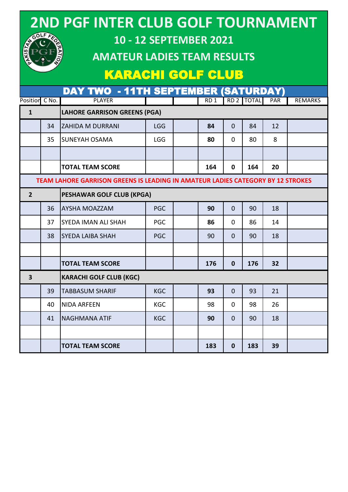| <b>2ND PGF INTER CLUB GOLF TOURNAMENT</b><br>GOLF FE<br><b>10 - 12 SEPTEMBER 2021</b><br><b>AMATEUR LADIES TEAM RESULTS</b><br><b>KARACHI GOLF CLUB</b> |       |                                                                                        |            |  |                 |                 |              |            |                |
|---------------------------------------------------------------------------------------------------------------------------------------------------------|-------|----------------------------------------------------------------------------------------|------------|--|-----------------|-----------------|--------------|------------|----------------|
|                                                                                                                                                         |       | <b>DAY TWO - 11TH SEPTEMBER (SATURDAY)</b>                                             |            |  |                 |                 |              |            |                |
| Position<br>$\mathbf{1}$                                                                                                                                | C No. | <b>PLAYER</b><br><b>LAHORE GARRISON GREENS (PGA)</b>                                   |            |  | RD <sub>1</sub> | RD <sub>2</sub> | <b>TOTAL</b> | <b>PAR</b> | <b>REMARKS</b> |
|                                                                                                                                                         | 34    | <b>ZAHIDA M DURRANI</b>                                                                | <b>LGG</b> |  | 84              | $\Omega$        | 84           | 12         |                |
|                                                                                                                                                         | 35    | <b>SUNEYAH OSAMA</b>                                                                   | <b>LGG</b> |  | 80              | $\Omega$        | 80           | 8          |                |
|                                                                                                                                                         |       |                                                                                        |            |  |                 |                 |              |            |                |
|                                                                                                                                                         |       | <b>TOTAL TEAM SCORE</b>                                                                |            |  | 164             | $\bf{0}$        | 164          | 20         |                |
|                                                                                                                                                         |       | <b>TEAM LAHORE GARRISON GREENS IS LEADING IN AMATEUR LADIES CATEGORY BY 12 STROKES</b> |            |  |                 |                 |              |            |                |
| $\overline{2}$                                                                                                                                          |       | <b>PESHAWAR GOLF CLUB (KPGA)</b>                                                       |            |  |                 |                 |              |            |                |
|                                                                                                                                                         | 36    | <b>AYSHA MOAZZAM</b>                                                                   | <b>PGC</b> |  | 90              | $\Omega$        | 90           | 18         |                |
|                                                                                                                                                         | 37    | SYEDA IMAN ALI SHAH                                                                    | <b>PGC</b> |  | 86              | $\Omega$        | 86           | 14         |                |
|                                                                                                                                                         | 38    | <b>SYEDA LAIBA SHAH</b>                                                                | <b>PGC</b> |  | 90              | 0               | 90           | 18         |                |
|                                                                                                                                                         |       |                                                                                        |            |  |                 |                 |              |            |                |
|                                                                                                                                                         |       | <b>TOTAL TEAM SCORE</b>                                                                |            |  | 176             | 0               | 176          | 32         |                |
| 3                                                                                                                                                       |       | <b>KARACHI GOLF CLUB (KGC)</b>                                                         |            |  |                 |                 |              |            |                |
|                                                                                                                                                         | 39    | <b>TABBASUM SHARIF</b>                                                                 | <b>KGC</b> |  | 93              | $\mathbf{0}$    | 93           | 21         |                |
|                                                                                                                                                         | 40    | <b>NIDA ARFEEN</b>                                                                     | KGC        |  | 98              | 0               | 98           | 26         |                |
|                                                                                                                                                         | 41    | <b>NAGHMANA ATIF</b>                                                                   | <b>KGC</b> |  | 90              | $\mathbf 0$     | 90           | 18         |                |
|                                                                                                                                                         |       |                                                                                        |            |  |                 |                 |              |            |                |

**TOTAL TEAM SCORE 183 0 183 39**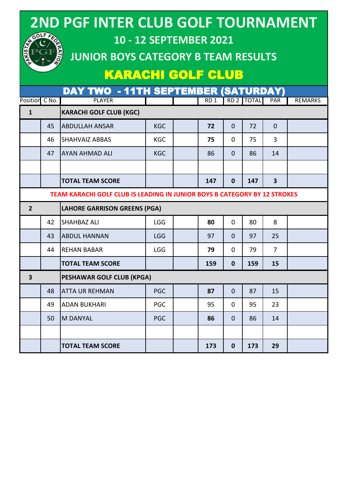| 2ND PGF INTER CLUB GOLF TOURNAMENT<br>GOLF FED<br><b>10 - 12 SEPTEMBER 2021</b><br><b>KISTAT</b><br>JUNIOR BOYS CATEGORY B TEAM RESULTS<br><b>KARACHI GOLF CLUB</b><br><b>DAY TWO - 11TH SEPTEMBER (SATURDAY)</b> |         |                                                                           |            |  |                 |                 |              |                         |                |  |
|-------------------------------------------------------------------------------------------------------------------------------------------------------------------------------------------------------------------|---------|---------------------------------------------------------------------------|------------|--|-----------------|-----------------|--------------|-------------------------|----------------|--|
| Position                                                                                                                                                                                                          | $C$ No. | <b>PLAYER</b>                                                             |            |  | RD <sub>1</sub> | RD <sub>2</sub> | <b>TOTAL</b> | <b>PAR</b>              | <b>REMARKS</b> |  |
| $\mathbf{1}$                                                                                                                                                                                                      |         | <b>KARACHI GOLF CLUB (KGC)</b>                                            |            |  |                 |                 |              |                         |                |  |
|                                                                                                                                                                                                                   | 45      | <b>ABDULLAH ANSAR</b>                                                     | <b>KGC</b> |  | 72              | $\Omega$        | 72           | $\overline{0}$          |                |  |
|                                                                                                                                                                                                                   | 46      | <b>SHAHVAIZ ABBAS</b>                                                     | <b>KGC</b> |  | 75              | $\Omega$        | 75           | 3                       |                |  |
|                                                                                                                                                                                                                   | 47      | <b>AYAN AHMAD ALI</b>                                                     | <b>KGC</b> |  | 86              | $\Omega$        | 86           | 14                      |                |  |
|                                                                                                                                                                                                                   |         |                                                                           |            |  |                 |                 |              |                         |                |  |
|                                                                                                                                                                                                                   |         | <b>TOTAL TEAM SCORE</b>                                                   |            |  | 147             | $\mathbf{0}$    | 147          | $\overline{\mathbf{3}}$ |                |  |
|                                                                                                                                                                                                                   |         | TEAM KARACHI GOLF CLUB IS LEADING IN JUNIOR BOYS B CATEGORY BY 12 STROKES |            |  |                 |                 |              |                         |                |  |
| $\overline{2}$                                                                                                                                                                                                    |         | <b>LAHORE GARRISON GREENS (PGA)</b>                                       |            |  |                 |                 |              |                         |                |  |
|                                                                                                                                                                                                                   | 42      | <b>SHAHBAZ ALI</b>                                                        | <b>LGG</b> |  | 80              | $\Omega$        | 80           | 8                       |                |  |
|                                                                                                                                                                                                                   | 43      | <b>ABDUL HANNAN</b>                                                       | <b>LGG</b> |  | 97              | $\Omega$        | 97           | 25                      |                |  |
|                                                                                                                                                                                                                   | 44      | <b>REHAN BABAR</b>                                                        | <b>LGG</b> |  | 79              | $\Omega$        | 79           | 7                       |                |  |
|                                                                                                                                                                                                                   |         | <b>TOTAL TEAM SCORE</b>                                                   |            |  | 159             | 0               | 159          | 15                      |                |  |
| 3                                                                                                                                                                                                                 |         | <b>PESHAWAR GOLF CLUB (KPGA)</b>                                          |            |  |                 |                 |              |                         |                |  |
|                                                                                                                                                                                                                   | 48      | <b>ATTA UR REHMAN</b>                                                     | <b>PGC</b> |  | 87              | $\mathbf 0$     | 87           | 15                      |                |  |
|                                                                                                                                                                                                                   | 49      | <b>ADAN BUKHARI</b>                                                       | <b>PGC</b> |  | 95              | 0               | 95           | 23                      |                |  |
|                                                                                                                                                                                                                   | 50      | <b>M DANYAL</b>                                                           | <b>PGC</b> |  | 86              | $\mathbf{0}$    | 86           | 14                      |                |  |
|                                                                                                                                                                                                                   |         |                                                                           |            |  |                 |                 |              |                         |                |  |
|                                                                                                                                                                                                                   |         | <b>TOTAL TEAM SCORE</b>                                                   |            |  | 173             | $\bf{0}$        | 173          | 29                      |                |  |